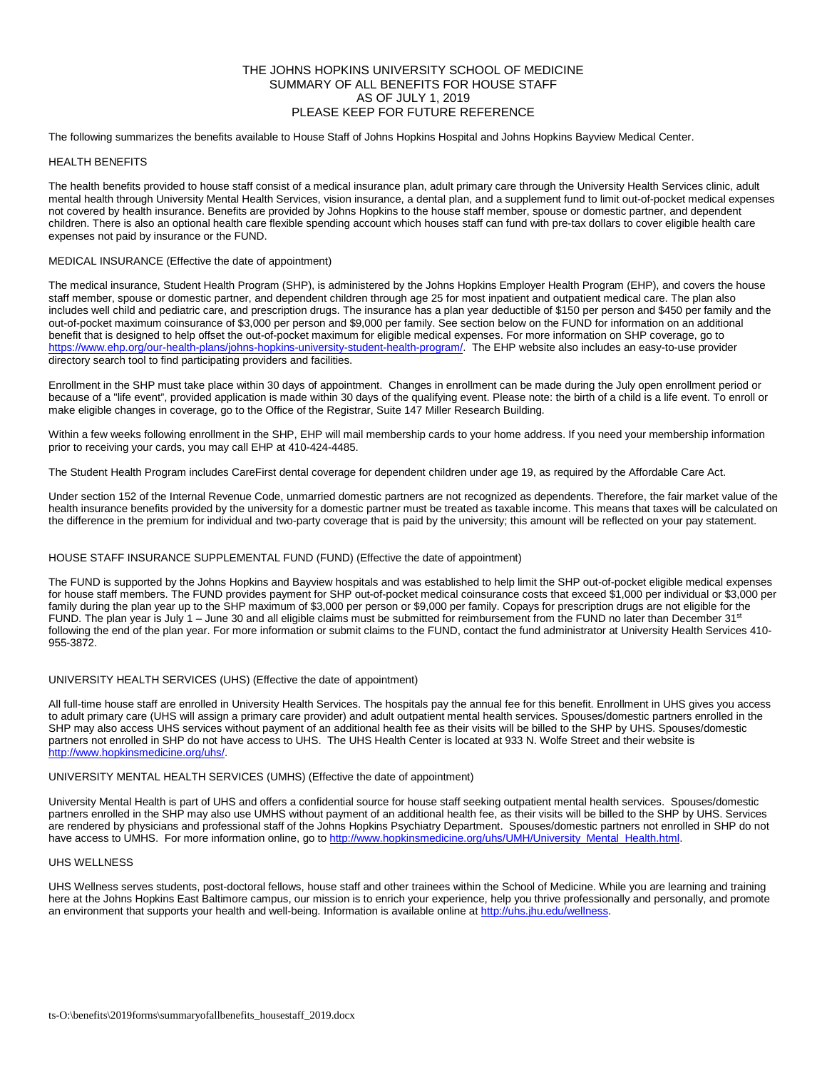# THE JOHNS HOPKINS UNIVERSITY SCHOOL OF MEDICINE SUMMARY OF ALL BENEFITS FOR HOUSE STAFF AS OF JULY 1, 2019 PLEASE KEEP FOR FUTURE REFERENCE

The following summarizes the benefits available to House Staff of Johns Hopkins Hospital and Johns Hopkins Bayview Medical Center.

## HEALTH BENEFITS

The health benefits provided to house staff consist of a medical insurance plan, adult primary care through the University Health Services clinic, adult mental health through University Mental Health Services, vision insurance, a dental plan, and a supplement fund to limit out-of-pocket medical expenses not covered by health insurance. Benefits are provided by Johns Hopkins to the house staff member, spouse or domestic partner, and dependent children. There is also an optional health care flexible spending account which houses staff can fund with pre-tax dollars to cover eligible health care expenses not paid by insurance or the FUND.

# MEDICAL INSURANCE (Effective the date of appointment)

The medical insurance, Student Health Program (SHP), is administered by the Johns Hopkins Employer Health Program (EHP), and covers the house staff member, spouse or domestic partner, and dependent children through age 25 for most inpatient and outpatient medical care. The plan also includes well child and pediatric care, and prescription drugs. The insurance has a plan year deductible of \$150 per person and \$450 per family and the out-of-pocket maximum coinsurance of \$3,000 per person and \$9,000 per family. See section below on the FUND for information on an additional benefit that is designed to help offset the out-of-pocket maximum for eligible medical expenses. For more information on SHP coverage, go to [https://www.ehp.org/our-health-plans/johns-hopkins-university-student-health-program/.](https://www.ehp.org/our-health-plans/johns-hopkins-university-student-health-program/) The EHP website also includes an easy-to-use provider directory search tool to find participating providers and facilities.

Enrollment in the SHP must take place within 30 days of appointment. Changes in enrollment can be made during the July open enrollment period or because of a "life event", provided application is made within 30 days of the qualifying event. Please note: the birth of a child is a life event. To enroll or make eligible changes in coverage, go to the Office of the Registrar, Suite 147 Miller Research Building.

Within a few weeks following enrollment in the SHP, EHP will mail membership cards to your home address. If you need your membership information prior to receiving your cards, you may call EHP at 410-424-4485.

The Student Health Program includes CareFirst dental coverage for dependent children under age 19, as required by the Affordable Care Act.

Under section 152 of the Internal Revenue Code, unmarried domestic partners are not recognized as dependents. Therefore, the fair market value of the health insurance benefits provided by the university for a domestic partner must be treated as taxable income. This means that taxes will be calculated on the difference in the premium for individual and two-party coverage that is paid by the university; this amount will be reflected on your pay statement.

# HOUSE STAFF INSURANCE SUPPLEMENTAL FUND (FUND) (Effective the date of appointment)

The FUND is supported by the Johns Hopkins and Bayview hospitals and was established to help limit the SHP out-of-pocket eligible medical expenses for house staff members. The FUND provides payment for SHP out-of-pocket medical coinsurance costs that exceed \$1,000 per individual or \$3,000 per family during the plan year up to the SHP maximum of \$3,000 per person or \$9,000 per family. Copays for prescription drugs are not eligible for the FUND. The plan year is July 1 – June 30 and all eligible claims must be submitted for reimbursement from the FUND no later than December 31<sup>st</sup> following the end of the plan year. For more information or submit claims to the FUND, contact the fund administrator at University Health Services 410-955-3872.

# UNIVERSITY HEALTH SERVICES (UHS) (Effective the date of appointment)

All full-time house staff are enrolled in University Health Services. The hospitals pay the annual fee for this benefit. Enrollment in UHS gives you access to adult primary care (UHS will assign a primary care provider) and adult outpatient mental health services. Spouses/domestic partners enrolled in the SHP may also access UHS services without payment of an additional health fee as their visits will be billed to the SHP by UHS. Spouses/domestic partners not enrolled in SHP do not have access to UHS. The UHS Health Center is located at 933 N. Wolfe Street and their website is [http://www.hopkinsmedicine.org/uhs/.](http://www.hopkinsmedicine.org/uhs/)

### UNIVERSITY MENTAL HEALTH SERVICES (UMHS) (Effective the date of appointment)

University Mental Health is part of UHS and offers a confidential source for house staff seeking outpatient mental health services. Spouses/domestic partners enrolled in the SHP may also use UMHS without payment of an additional health fee, as their visits will be billed to the SHP by UHS. Services are rendered by physicians and professional staff of the Johns Hopkins Psychiatry Department. Spouses/domestic partners not enrolled in SHP do not have access to UMHS. For more information online, go t[o http://www.hopkinsmedicine.org/uhs/UMH/University\\_Mental\\_Health.html.](http://www.hopkinsmedicine.org/uhs/UMH/University_Mental_Health.html)

### UHS WELLNESS

UHS Wellness serves students, post-doctoral fellows, house staff and other trainees within the School of Medicine. While you are learning and training here at the Johns Hopkins East Baltimore campus, our mission is to enrich your experience, help you thrive professionally and personally, and promote an environment that supports your health and well-being. Information is available online at http://uhs.jhu.edu/wellness.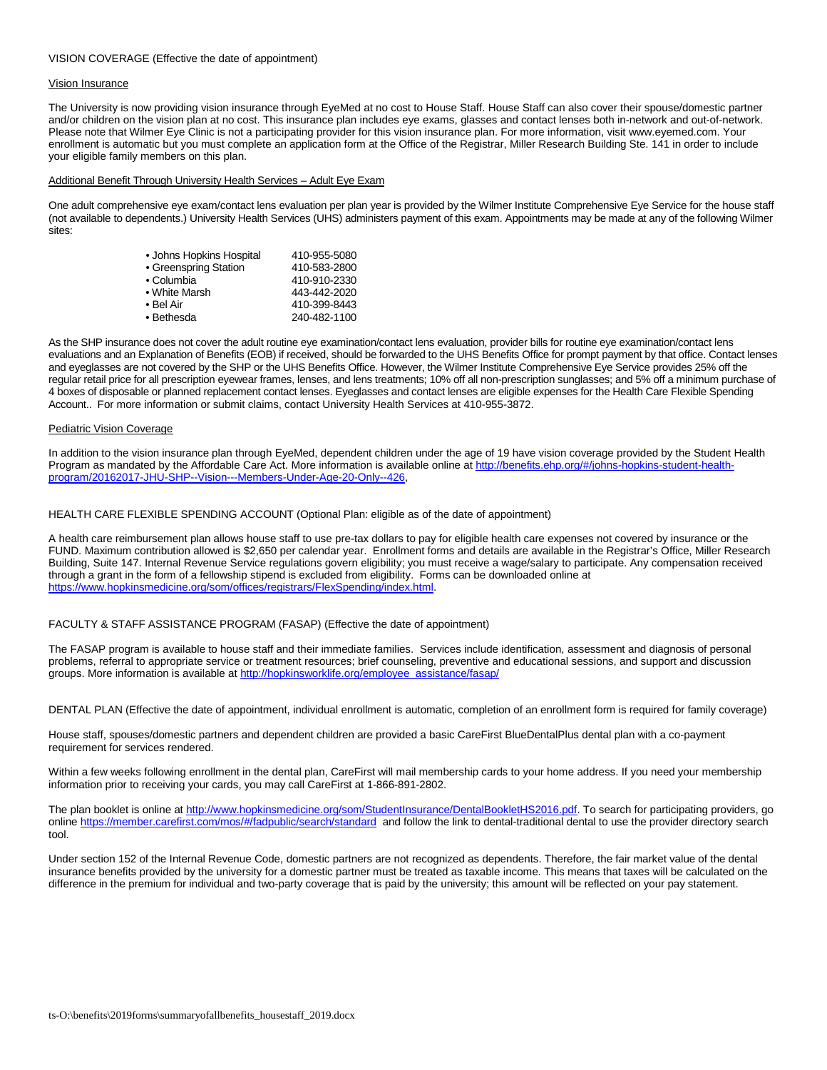## VISION COVERAGE (Effective the date of appointment)

#### Vision Insurance

The University is now providing vision insurance through EyeMed at no cost to House Staff. House Staff can also cover their spouse/domestic partner and/or children on the vision plan at no cost. This insurance plan includes eye exams, glasses and contact lenses both in-network and out-of-network. Please note that Wilmer Eye Clinic is not a participating provider for this vision insurance plan. For more information, visit www.eyemed.com. Your enrollment is automatic but you must complete an application form at the Office of the Registrar, Miller Research Building Ste. 141 in order to include your eligible family members on this plan.

#### Additional Benefit Through University Health Services – Adult Eye Exam

One adult comprehensive eye exam/contact lens evaluation per plan year is provided by the Wilmer Institute Comprehensive Eye Service for the house staff (not available to dependents.) University Health Services (UHS) administers payment of this exam. Appointments may be made at any of the following Wilmer sites:

| • Johns Hopkins Hospital | 410-955-5080 |
|--------------------------|--------------|
| • Greenspring Station    | 410-583-2800 |
| • Columbia               | 410-910-2330 |
| • White Marsh            | 443-442-2020 |
| • Bel Air                | 410-399-8443 |
| • Bethesda               | 240-482-1100 |

As the SHP insurance does not cover the adult routine eye examination/contact lens evaluation, provider bills for routine eye examination/contact lens evaluations and an Explanation of Benefits (EOB) if received, should be forwarded to the UHS Benefits Office for prompt payment by that office. Contact lenses and eyeglasses are not covered by the SHP or the UHS Benefits Office. However, the Wilmer Institute Comprehensive Eye Service provides 25% off the regular retail price for all prescription eyewear frames, lenses, and lens treatments; 10% off all non-prescription sunglasses; and 5% off a minimum purchase of 4 boxes of disposable or planned replacement contact lenses. Eyeglasses and contact lenses are eligible expenses for the Health Care Flexible Spending Account.. For more information or submit claims, contact University Health Services at 410-955-3872.

#### Pediatric Vision Coverage

In addition to the vision insurance plan through EyeMed, dependent children under the age of 19 have vision coverage provided by the Student Health Program as mandated by the Affordable Care Act. More information is available online a[t http://benefits.ehp.org/#/johns-hopkins-student-health](http://benefits.ehp.org/#/johns-hopkins-student-health-program/20162017-JHU-SHP--Vision---Members-Under-Age-20-Only--426)[program/20162017-JHU-SHP--Vision---Members-Under-Age-20-Only--426,](http://benefits.ehp.org/#/johns-hopkins-student-health-program/20162017-JHU-SHP--Vision---Members-Under-Age-20-Only--426)

### HEALTH CARE FLEXIBLE SPENDING ACCOUNT (Optional Plan: eligible as of the date of appointment)

A health care reimbursement plan allows house staff to use pre-tax dollars to pay for eligible health care expenses not covered by insurance or the FUND. Maximum contribution allowed is \$2,650 per calendar year. Enrollment forms and details are available in the Registrar's Office, Miller Research Building, Suite 147. Internal Revenue Service regulations govern eligibility; you must receive a wage/salary to participate. Any compensation received through a grant in the form of a fellowship stipend is excluded from eligibility. Forms can be downloaded online at [https://www.hopkinsmedicine.org/som/offices/registrars/FlexSpending/index.html.](https://www.hopkinsmedicine.org/som/offices/registrars/FlexSpending/index.html)

### FACULTY & STAFF ASSISTANCE PROGRAM (FASAP) (Effective the date of appointment)

The FASAP program is available to house staff and their immediate families. Services include identification, assessment and diagnosis of personal problems, referral to appropriate service or treatment resources; brief counseling, preventive and educational sessions, and support and discussion groups. More information is available at [http://hopkinsworklife.org/employee\\_assistance/fasap/](http://hopkinsworklife.org/employee_assistance/fasap/)

DENTAL PLAN (Effective the date of appointment, individual enrollment is automatic, completion of an enrollment form is required for family coverage)

House staff, spouses/domestic partners and dependent children are provided a basic CareFirst BlueDentalPlus dental plan with a co-payment requirement for services rendered.

Within a few weeks following enrollment in the dental plan, CareFirst will mail membership cards to your home address. If you need your membership information prior to receiving your cards, you may call CareFirst at 1-866-891-2802.

The plan booklet is online at [http://www.hopkinsmedicine.org/som/StudentInsurance/DentalBookletHS2016.pdf.](http://www.hopkinsmedicine.org/som/StudentInsurance/DentalBookletHS2016.pdf) To search for participating providers, go onlin[e https://member.carefirst.com/mos/#/fadpublic/search/standard](https://member.carefirst.com/mos/#/fadpublic/search/standard) and follow the link to dental-traditional dental to use the provider directory search tool.

Under section 152 of the Internal Revenue Code, domestic partners are not recognized as dependents. Therefore, the fair market value of the dental insurance benefits provided by the university for a domestic partner must be treated as taxable income. This means that taxes will be calculated on the difference in the premium for individual and two-party coverage that is paid by the university; this amount will be reflected on your pay statement.